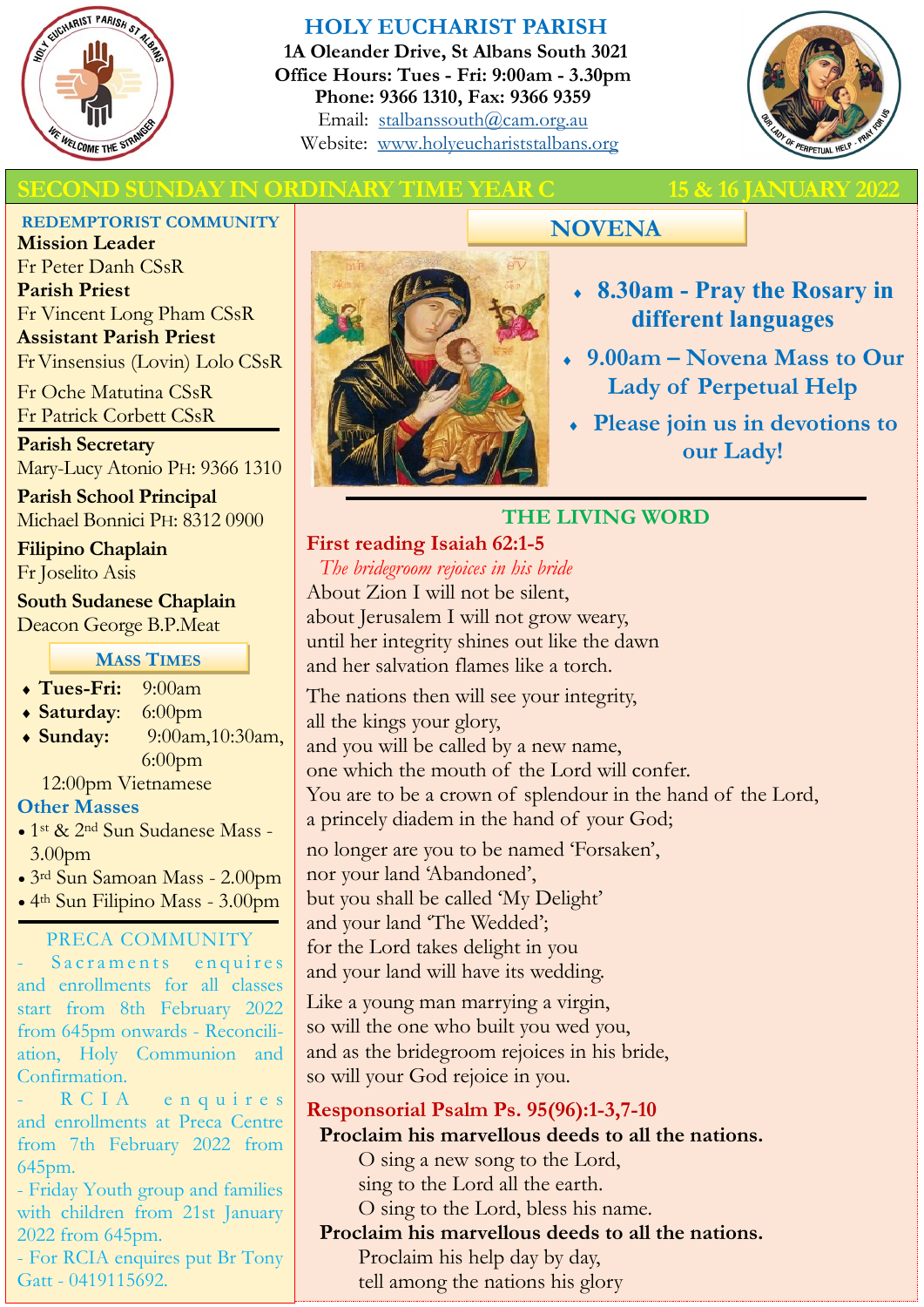

## **HOLY EUCHARIST PARISH**

**1A Oleander Drive, St Albans South 3021 Office Hours: Tues - Fri: 9:00am - 3.30pm Phone: 9366 1310, Fax: 9366 9359** Email: [stalbanssouth@cam.org.au](mailto:stalbanssouth@cam.org.au) Website:[www.holyeuchariststalbans.org](http://www.holyeuchariststalbans.org)



## **SUNDAY IN ORDINARY TIME YEAR C** 15 & 16 JANUARY

**REDEMPTORIST COMMUNITY**

**Mission Leader** Fr Peter Danh CSsR **Parish Priest** Fr Vincent Long Pham CSsR **Assistant Parish Priest**  Fr Vinsensius (Lovin) Lolo CSsR

Fr Oche Matutina CSsR Fr Patrick Corbett CSsR

**Parish Secretary** Mary-Lucy Atonio PH: 9366 1310

**Parish School Principal** Michael Bonnici PH: 8312 0900

**Filipino Chaplain** Fr Joselito Asis

**South Sudanese Chaplain** Deacon George B.P.Meat

**MASS TIMES**

- **Tues-Fri:** 9:00am
- **Saturday**: 6:00pm
- **Sunday:** 9:00am,10:30am, 6:00pm

12:00pm Vietnamese

## **Other Masses**

- 1st & 2nd Sun Sudanese Mass 3.00pm
- 3rd Sun Samoan Mass 2.00pm
- 4th Sun Filipino Mass 3.00pm

## PRECA COMMUNITY

Sacraments enquires and enrollments for all classes start from 8th February 2022 from 645pm onwards - Reconciliation, Holy Communion and Confirmation.

R C I A e n qui r e s and enrollments at Preca Centre from 7th February 2022 from 645pm.

- Friday Youth group and families with children from 21st January 2022 from 645pm.

- For RCIA enquires put Br Tony Gatt - 0419115692.



# **NOVENA**

- **8.30am - Pray the Rosary in different languages**
- **9.00am – Novena Mass to Our Lady of Perpetual Help**
- **Please join us in devotions to our Lady!**

## **THE LIVING WORD**

**First reading Isaiah 62:1-5** *The bridegroom rejoices in his bride*

About Zion I will not be silent, about Jerusalem I will not grow weary, until her integrity shines out like the dawn and her salvation flames like a torch.

The nations then will see your integrity, all the kings your glory, and you will be called by a new name, one which the mouth of the Lord will confer. You are to be a crown of splendour in the hand of the Lord, a princely diadem in the hand of your God;

no longer are you to be named 'Forsaken', nor your land 'Abandoned', but you shall be called 'My Delight' and your land 'The Wedded'; for the Lord takes delight in you and your land will have its wedding.

Like a young man marrying a virgin, so will the one who built you wed you, and as the bridegroom rejoices in his bride, so will your God rejoice in you.

# **Responsorial Psalm Ps. 95(96):1-3,7-10**

**Proclaim his marvellous deeds to all the nations.**

O sing a new song to the Lord, sing to the Lord all the earth.

O sing to the Lord, bless his name.

## **Proclaim his marvellous deeds to all the nations.**

Proclaim his help day by day, tell among the nations his glory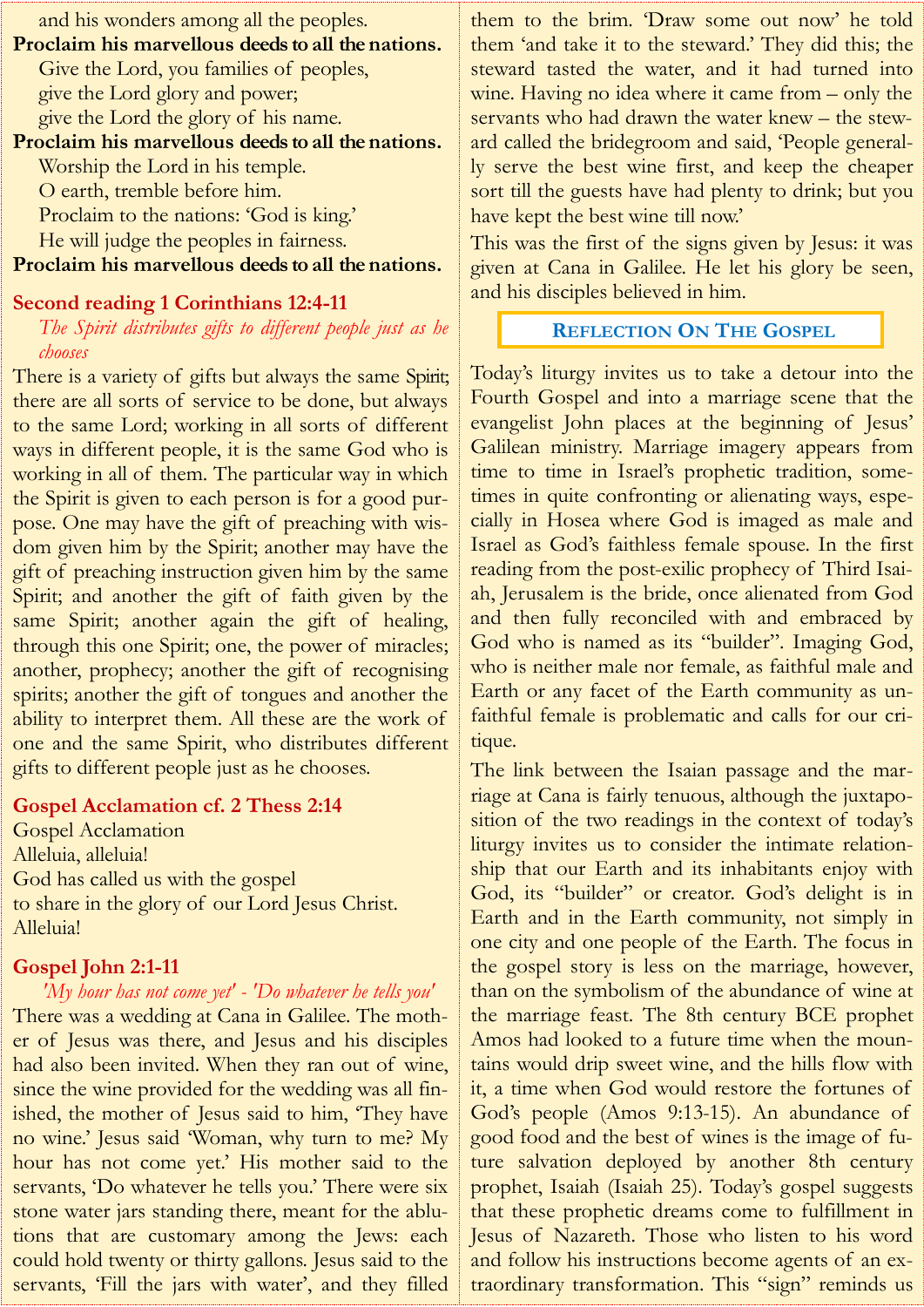| and his wonders among all the peoples.            |
|---------------------------------------------------|
| Proclaim his marvellous deeds to all the nations. |
| Give the Lord, you families of peoples,           |
| give the Lord glory and power;                    |
| give the Lord the glory of his name.              |
| Proclaim his marvellous deeds to all the nations. |
| Worship the Lord in his temple.                   |
| O earth, tremble before him.                      |
| Proclaim to the nations: 'God is king'            |
| He will judge the peoples in fairness.            |
| Proclaim his marvellous deeds to all the nations. |

#### **Second reading 1 Corinthians 12:4-11**

*The Spirit distributes gifts to different people just as he chooses*

There is a variety of gifts but always the same Spirit; there are all sorts of service to be done, but always to the same Lord; working in all sorts of different ways in different people, it is the same God who is working in all of them. The particular way in which the Spirit is given to each person is for a good purpose. One may have the gift of preaching with wisdom given him by the Spirit; another may have the gift of preaching instruction given him by the same Spirit; and another the gift of faith given by the same Spirit; another again the gift of healing, through this one Spirit; one, the power of miracles; another, prophecy; another the gift of recognising spirits; another the gift of tongues and another the ability to interpret them. All these are the work of one and the same Spirit, who distributes different gifts to different people just as he chooses.

#### **Gospel Acclamation cf. 2 Thess 2:14**

Gospel Acclamation Alleluia, alleluia! God has called us with the gospel to share in the glory of our Lord Jesus Christ. Alleluia!

## **Gospel John 2:1-11**

*'My hour has not come yet' - 'Do whatever he tells you'* There was a wedding at Cana in Galilee. The mother of Jesus was there, and Jesus and his disciples had also been invited. When they ran out of wine, since the wine provided for the wedding was all finished, the mother of Jesus said to him, 'They have no wine.' Jesus said 'Woman, why turn to me? My hour has not come yet.' His mother said to the servants, 'Do whatever he tells you.' There were six stone water jars standing there, meant for the ablutions that are customary among the Jews: each could hold twenty or thirty gallons. Jesus said to the servants, 'Fill the jars with water', and they filled

them to the brim. 'Draw some out now' he told them 'and take it to the steward.' They did this; the steward tasted the water, and it had turned into wine. Having no idea where it came from – only the servants who had drawn the water knew – the steward called the bridegroom and said, 'People generally serve the best wine first, and keep the cheaper sort till the guests have had plenty to drink; but you have kept the best wine till now.'

This was the first of the signs given by Jesus: it was given at Cana in Galilee. He let his glory be seen, and his disciples believed in him.

## **REFLECTION ON THE GOSPEL**

Today's liturgy invites us to take a detour into the Fourth Gospel and into a marriage scene that the evangelist John places at the beginning of Jesus' Galilean ministry. Marriage imagery appears from time to time in Israel's prophetic tradition, sometimes in quite confronting or alienating ways, especially in Hosea where God is imaged as male and Israel as God's faithless female spouse. In the first reading from the post-exilic prophecy of Third Isaiah, Jerusalem is the bride, once alienated from God and then fully reconciled with and embraced by God who is named as its "builder". Imaging God, who is neither male nor female, as faithful male and Earth or any facet of the Earth community as unfaithful female is problematic and calls for our critique.

The link between the Isaian passage and the marriage at Cana is fairly tenuous, although the juxtaposition of the two readings in the context of today's liturgy invites us to consider the intimate relationship that our Earth and its inhabitants enjoy with God, its "builder" or creator. God's delight is in Earth and in the Earth community, not simply in one city and one people of the Earth. The focus in the gospel story is less on the marriage, however, than on the symbolism of the abundance of wine at the marriage feast. The 8th century BCE prophet Amos had looked to a future time when the mountains would drip sweet wine, and the hills flow with it, a time when God would restore the fortunes of God's people (Amos 9:13-15). An abundance of good food and the best of wines is the image of future salvation deployed by another 8th century prophet, Isaiah (Isaiah 25). Today's gospel suggests that these prophetic dreams come to fulfillment in Jesus of Nazareth. Those who listen to his word and follow his instructions become agents of an extraordinary transformation. This "sign" reminds us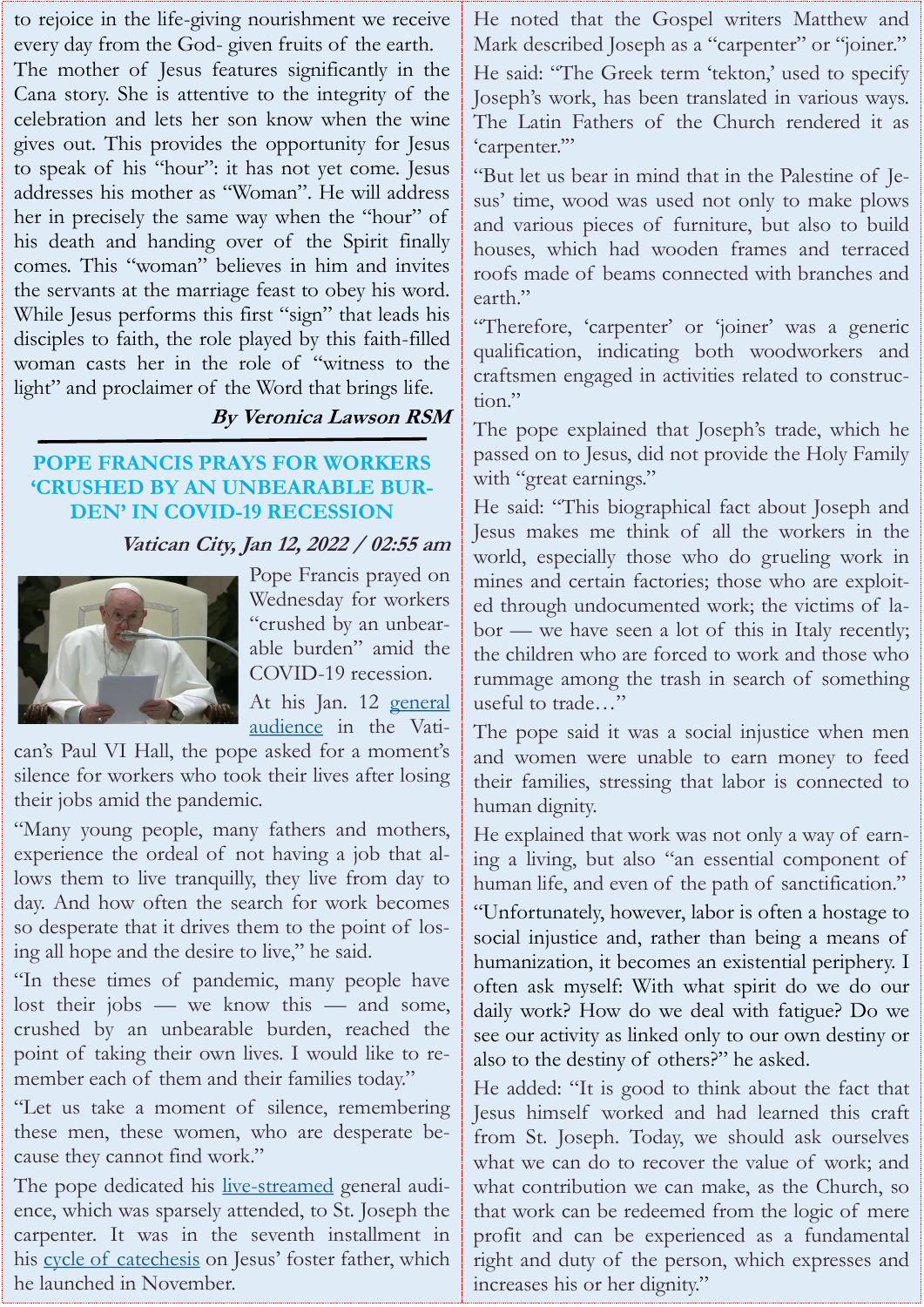to rejoice in the life-giving nourishment we receive every day from the God- given fruits of the earth.

The mother of Jesus features significantly in the Cana story. She is attentive to the integrity of the celebration and lets her son know when the wine gives out. This provides the opportunity for Jesus to speak of his "hour": it has not yet come. Jesus addresses his mother as "Woman". He will address her in precisely the same way when the "hour" of his death and handing over of the Spirit finally comes. This "woman" believes in him and invites the servants at the marriage feast to obey his word. While Jesus performs this first "sign" that leads his disciples to faith, the role played by this faith-filled woman casts her in the role of "witness to the light" and proclaimer of the Word that brings life.

## **By Veronica Lawson RSM**

## **POPE FRANCIS PRAYS FOR WORKERS 'CRUSHED BY AN UNBEARABLE BUR-DEN' IN COVID-19 RECESSION**

## **Vatican City, Jan 12, 2022 / 02:55 am**



Pope Francis prayed on Wednesday for workers "crushed by an unbearable burden" amid the COVID-19 recession.

At his Jan. 12 general [audience](https://www.vatican.va/content/francesco/en/audiences/2022/documents/20220112-udienza-generale.html) in the Vati-

can's Paul VI Hall, the pope asked for a moment's silence for workers who took their lives after losing their jobs amid the pandemic.

"Many young people, many fathers and mothers, experience the ordeal of not having a job that allows them to live tranquilly, they live from day to day. And how often the search for work becomes so desperate that it drives them to the point of losing all hope and the desire to live," he said.

"In these times of pandemic, many people have lost their jobs — we know this — and some, crushed by an unbearable burden, reached the point of taking their own lives. I would like to remember each of them and their families today."

"Let us take a moment of silence, remembering these men, these women, who are desperate because they cannot find work."

The pope dedicated his <u>[live-streamed](https://www.youtube.com/watch?v=aUQ5qqGW3Mk)</u> general audience, which was sparsely attended, to St. Joseph the carpenter. It was in the seventh installment in his [cycle of catechesis](https://www.vatican.va/content/francesco/en/audiences/2021.index.html) on Jesus' foster father, which he launched in November.

He noted that the Gospel writers Matthew and Mark described Joseph as a "carpenter" or "joiner." He said: "The Greek term 'tekton,' used to specify Joseph's work, has been translated in various ways. The Latin Fathers of the Church rendered it as 'carpenter.'"

"But let us bear in mind that in the Palestine of Jesus' time, wood was used not only to make plows and various pieces of furniture, but also to build houses, which had wooden frames and terraced roofs made of beams connected with branches and earth."

"Therefore, 'carpenter' or 'joiner' was a generic qualification, indicating both woodworkers and craftsmen engaged in activities related to construction."

The pope explained that Joseph's trade, which he passed on to Jesus, did not provide the Holy Family with "great earnings."

He said: "This biographical fact about Joseph and Jesus makes me think of all the workers in the world, especially those who do grueling work in mines and certain factories; those who are exploited through undocumented work; the victims of labor — we have seen a lot of this in Italy recently; the children who are forced to work and those who rummage among the trash in search of something useful to trade…"

The pope said it was a social injustice when men and women were unable to earn money to feed their families, stressing that labor is connected to human dignity.

He explained that work was not only a way of earning a living, but also "an essential component of human life, and even of the path of sanctification."

"Unfortunately, however, labor is often a hostage to social injustice and, rather than being a means of humanization, it becomes an existential periphery. I often ask myself: With what spirit do we do our daily work? How do we deal with fatigue? Do we see our activity as linked only to our own destiny or also to the destiny of others?" he asked.

He added: "It is good to think about the fact that Jesus himself worked and had learned this craft from St. Joseph. Today, we should ask ourselves what we can do to recover the value of work; and what contribution we can make, as the Church, so that work can be redeemed from the logic of mere profit and can be experienced as a fundamental right and duty of the person, which expresses and increases his or her dignity."